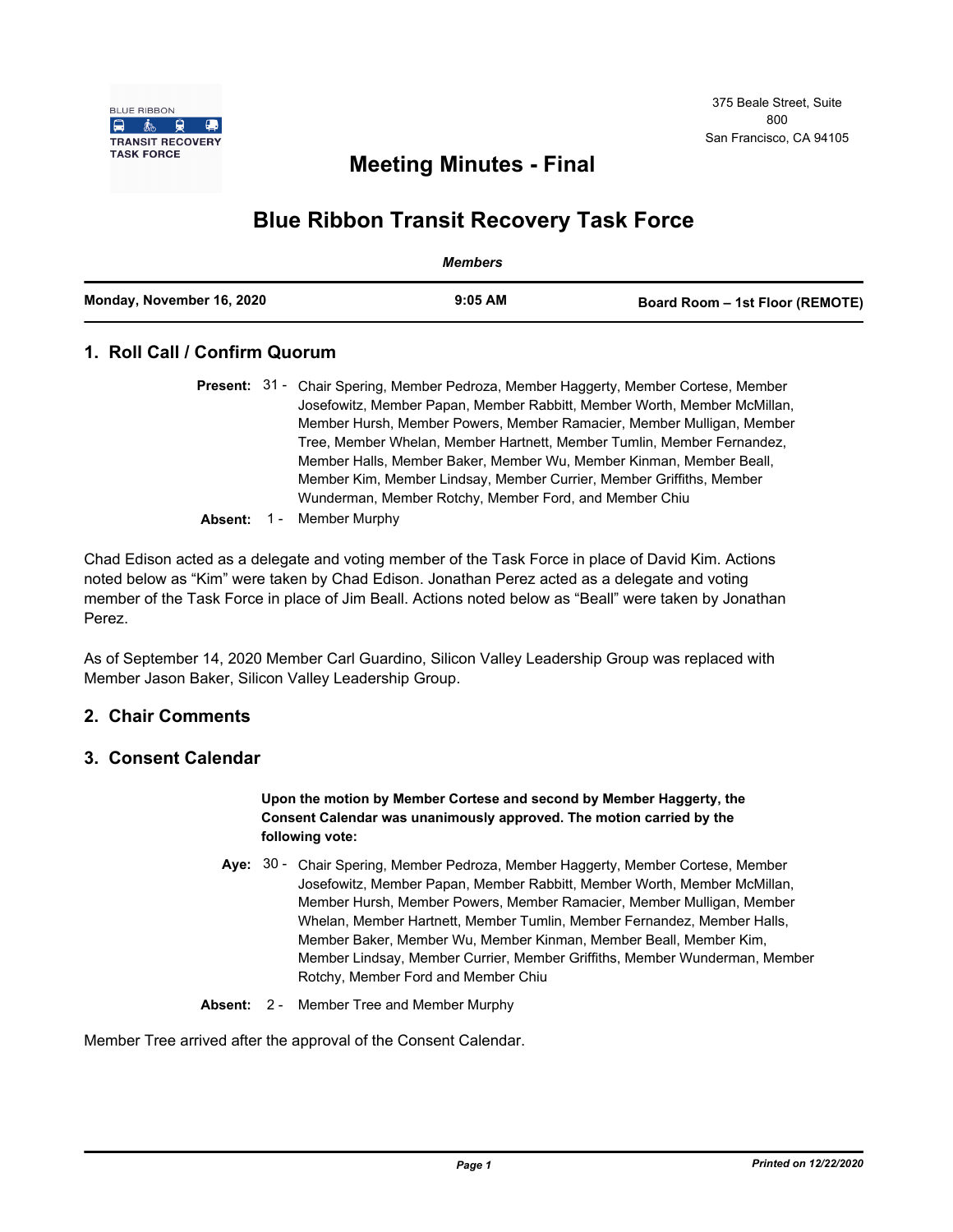

# **Meeting Minutes - Final**

# **Blue Ribbon Transit Recovery Task Force**

|                           | Members   |                                 |
|---------------------------|-----------|---------------------------------|
| Monday, November 16, 2020 | $9:05$ AM | Board Room - 1st Floor (REMOTE) |

# **1. Roll Call / Confirm Quorum**

|  | <b>Present:</b> 31 - Chair Spering, Member Pedroza, Member Haggerty, Member Cortese, Member |  |
|--|---------------------------------------------------------------------------------------------|--|
|  | Josefowitz, Member Papan, Member Rabbitt, Member Worth, Member McMillan,                    |  |
|  | Member Hursh, Member Powers, Member Ramacier, Member Mulligan, Member                       |  |
|  | Tree, Member Whelan, Member Hartnett, Member Tumlin, Member Fernandez,                      |  |
|  | Member Halls, Member Baker, Member Wu, Member Kinman, Member Beall,                         |  |
|  | Member Kim, Member Lindsay, Member Currier, Member Griffiths, Member                        |  |
|  | Wunderman, Member Rotchy, Member Ford, and Member Chiu                                      |  |
|  |                                                                                             |  |

**Absent:** 1 - Member Murphy

Chad Edison acted as a delegate and voting member of the Task Force in place of David Kim. Actions noted below as "Kim" were taken by Chad Edison. Jonathan Perez acted as a delegate and voting member of the Task Force in place of Jim Beall. Actions noted below as "Beall" were taken by Jonathan Perez.

As of September 14, 2020 Member Carl Guardino, Silicon Valley Leadership Group was replaced with Member Jason Baker, Silicon Valley Leadership Group.

## **2. Chair Comments**

## **3. Consent Calendar**

#### **Upon the motion by Member Cortese and second by Member Haggerty, the Consent Calendar was unanimously approved. The motion carried by the following vote:**

- Aye: 30 Chair Spering, Member Pedroza, Member Haggerty, Member Cortese, Member Josefowitz, Member Papan, Member Rabbitt, Member Worth, Member McMillan, Member Hursh, Member Powers, Member Ramacier, Member Mulligan, Member Whelan, Member Hartnett, Member Tumlin, Member Fernandez, Member Halls, Member Baker, Member Wu, Member Kinman, Member Beall, Member Kim, Member Lindsay, Member Currier, Member Griffiths, Member Wunderman, Member Rotchy, Member Ford and Member Chiu
- **Absent:** 2 Member Tree and Member Murphy

Member Tree arrived after the approval of the Consent Calendar.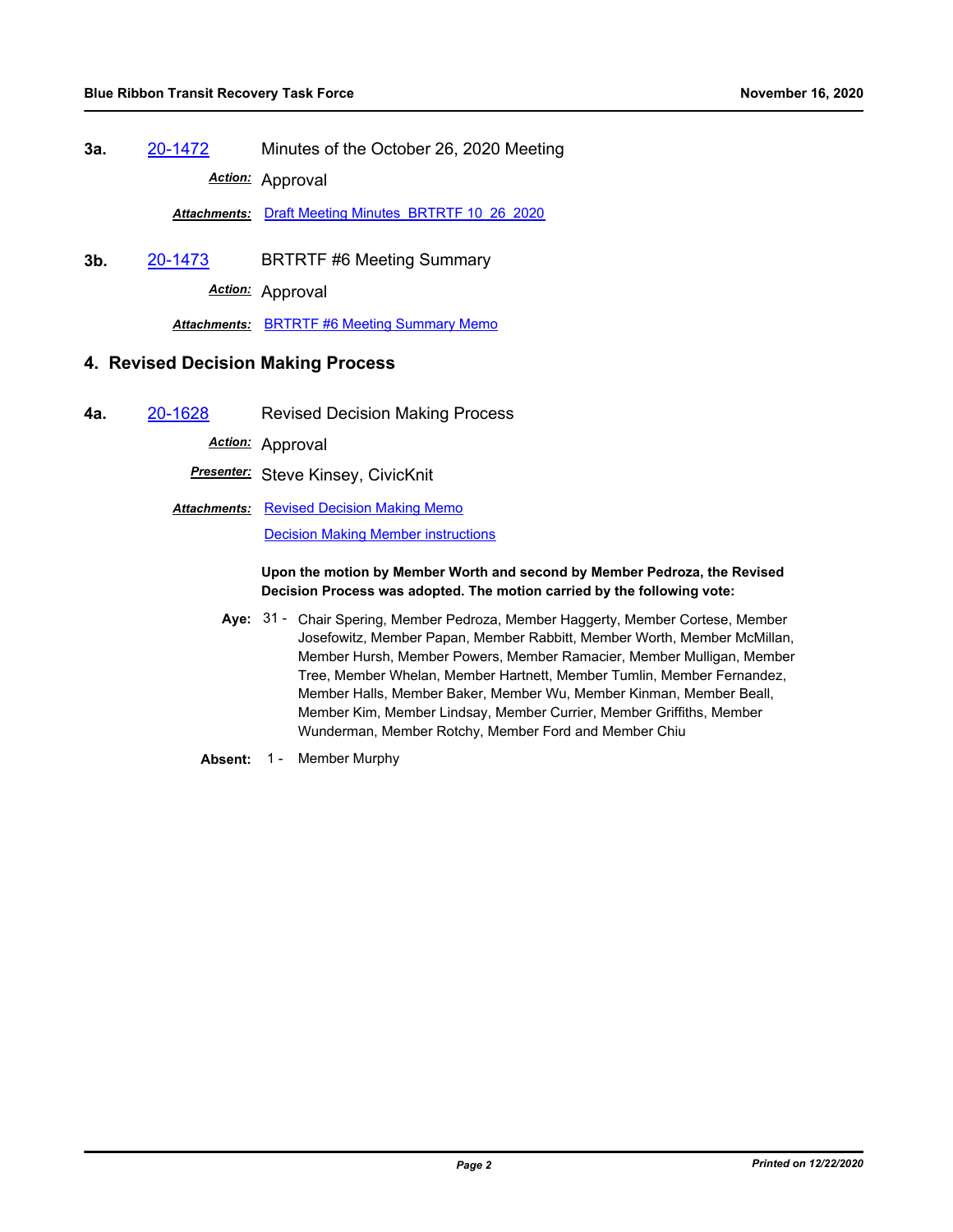**3a.** [20-1472](http://mtc.legistar.com/gateway.aspx?m=l&id=/matter.aspx?key=21337) Minutes of the October 26, 2020 Meeting *Action:* Approval

*Attachments:* [Draft Meeting Minutes\\_BRTRTF 10\\_26\\_2020](http://mtc.legistar.com/gateway.aspx?M=F&ID=17f8034a-8b8a-494f-934e-97d7d0122661.pdf)

**3b.** [20-1473](http://mtc.legistar.com/gateway.aspx?m=l&id=/matter.aspx?key=21338) BRTRTF #6 Meeting Summary

*Action:* Approval

*Attachments:* [BRTRTF #6 Meeting Summary Memo](http://mtc.legistar.com/gateway.aspx?M=F&ID=3e5b6a00-759d-4266-947d-a5c9b577e85f.pdf)

## **4. Revised Decision Making Process**

**4a.** [20-1628](http://mtc.legistar.com/gateway.aspx?m=l&id=/matter.aspx?key=21493) Revised Decision Making Process

*Action:* Approval

*Presenter:* Steve Kinsey, CivicKnit

**Attachments: [Revised Decision Making Memo](http://mtc.legistar.com/gateway.aspx?M=F&ID=d5ec7733-6cd3-49a0-abc2-6790cca5cf3a.pdf)** [Decision Making Member instructions](http://mtc.legistar.com/gateway.aspx?M=F&ID=271eb663-4558-4f35-a257-343043c9f21b.pdf)

#### **Upon the motion by Member Worth and second by Member Pedroza, the Revised Decision Process was adopted. The motion carried by the following vote:**

- Aye: 31 Chair Spering, Member Pedroza, Member Haggerty, Member Cortese, Member Josefowitz, Member Papan, Member Rabbitt, Member Worth, Member McMillan, Member Hursh, Member Powers, Member Ramacier, Member Mulligan, Member Tree, Member Whelan, Member Hartnett, Member Tumlin, Member Fernandez, Member Halls, Member Baker, Member Wu, Member Kinman, Member Beall, Member Kim, Member Lindsay, Member Currier, Member Griffiths, Member Wunderman, Member Rotchy, Member Ford and Member Chiu
- **Absent:** 1 Member Murphy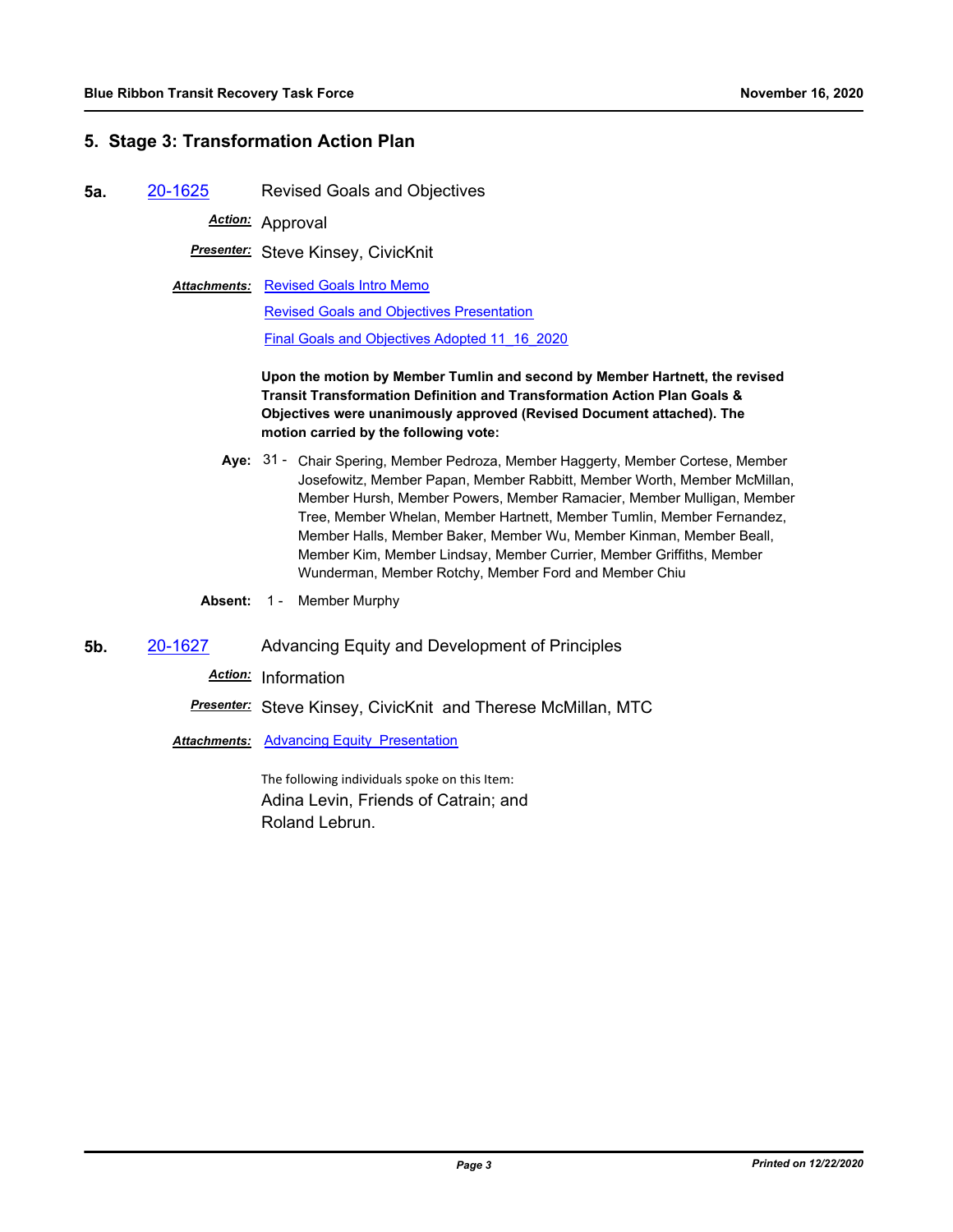# **5. Stage 3: Transformation Action Plan**

**5a.** [20-1625](http://mtc.legistar.com/gateway.aspx?m=l&id=/matter.aspx?key=21490) Revised Goals and Objectives

*Action:* Approval

*Presenter:* Steve Kinsey, CivicKnit

**Attachments: [Revised Goals Intro Memo](http://mtc.legistar.com/gateway.aspx?M=F&ID=f0bd2f8e-3597-47eb-99ea-c0b97988ce8c.pdf)** [Revised Goals and Objectives Presentation](http://mtc.legistar.com/gateway.aspx?M=F&ID=fffdfb08-6f16-4082-a269-de2db56cdaa4.pdf)

[Final Goals and Objectives Adopted 11\\_16\\_2020](http://mtc.legistar.com/gateway.aspx?M=F&ID=48686741-e961-4a57-9d46-d8311a0f7351.pdf)

**Upon the motion by Member Tumlin and second by Member Hartnett, the revised Transit Transformation Definition and Transformation Action Plan Goals & Objectives were unanimously approved (Revised Document attached). The motion carried by the following vote:**

- Aye: 31 Chair Spering, Member Pedroza, Member Haggerty, Member Cortese, Member Josefowitz, Member Papan, Member Rabbitt, Member Worth, Member McMillan, Member Hursh, Member Powers, Member Ramacier, Member Mulligan, Member Tree, Member Whelan, Member Hartnett, Member Tumlin, Member Fernandez, Member Halls, Member Baker, Member Wu, Member Kinman, Member Beall, Member Kim, Member Lindsay, Member Currier, Member Griffiths, Member Wunderman, Member Rotchy, Member Ford and Member Chiu
- **Absent:** 1 Member Murphy
- **5b.** [20-1627](http://mtc.legistar.com/gateway.aspx?m=l&id=/matter.aspx?key=21492) Advancing Equity and Development of Principles

*Action:* Information

*Presenter:* Steve Kinsey, CivicKnit and Therese McMillan, MTC

Attachments: Advancing Equity Presentation

The following individuals spoke on this Item: Adina Levin, Friends of Catrain; and Roland Lebrun.